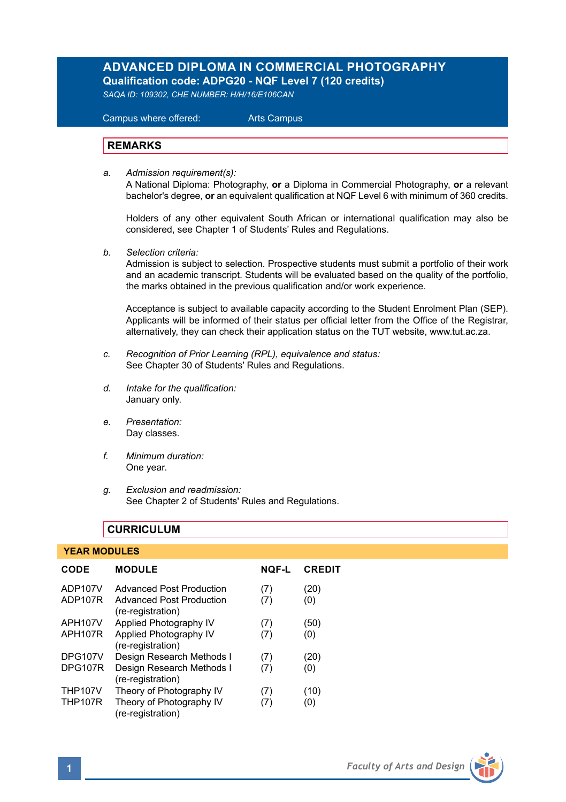## **ADVANCED DIPLOMA IN COMMERCIAL PHOTOGRAPHY Qualification code: ADPG20 - NQF Level 7 (120 credits)**

*SAQA ID: 109302, CHE NUMBER: H/H/16/E106CAN* 

 Campus where offered: Arts Campus

## **REMARKS**

*a. Admission requirement(s):*  A National Diploma: Photography, **or** a Diploma in Commercial Photography, **or** a relevant bachelor's degree, **or** an equivalent qualification at NQF Level 6 with minimum of 360 credits.

Holders of any other equivalent South African or international qualification may also be considered, see Chapter 1 of Students' Rules and Regulations.

*b. Selection criteria:*

Admission is subject to selection. Prospective students must submit a portfolio of their work and an academic transcript. Students will be evaluated based on the quality of the portfolio, the marks obtained in the previous qualification and/or work experience.

Acceptance is subject to available capacity according to the Student Enrolment Plan (SEP). Applicants will be informed of their status per official letter from the Office of the Registrar, alternatively, they can check their application status on the TUT website, www.tut.ac.za.

- *c. Recognition of Prior Learning (RPL), equivalence and status:* See Chapter 30 of Students' Rules and Regulations.
- *d. Intake for the qualification:* January only.
- *e. Presentation:* Day classes.
- *f. Minimum duration:* One year.
- *g. Exclusion and readmission:* See Chapter 2 of Students' Rules and Regulations.

## **CURRICULUM**

#### **YEAR MODULES**

| CODE           | <b>MODULE</b>                                        | <b>NOF-L</b> | <b>CREDIT</b> |
|----------------|------------------------------------------------------|--------------|---------------|
| ADP107V        | <b>Advanced Post Production</b>                      | (7)          | (20)          |
| ADP107R        | <b>Advanced Post Production</b><br>(re-registration) | (7)          | (0)           |
| APH107V        | Applied Photography IV                               | (7)          | (50)          |
| APH107R        | Applied Photography IV<br>(re-registration)          | (7)          | (0)           |
| <b>DPG107V</b> | Design Research Methods I                            | (7)          | (20)          |
| <b>DPG107R</b> | Design Research Methods I<br>(re-registration)       | (7)          | (0)           |
| <b>THP107V</b> | Theory of Photography IV                             | (7)          | (10)          |
| <b>THP107R</b> | Theory of Photography IV<br>(re-registration)        | (7)          | (0)           |

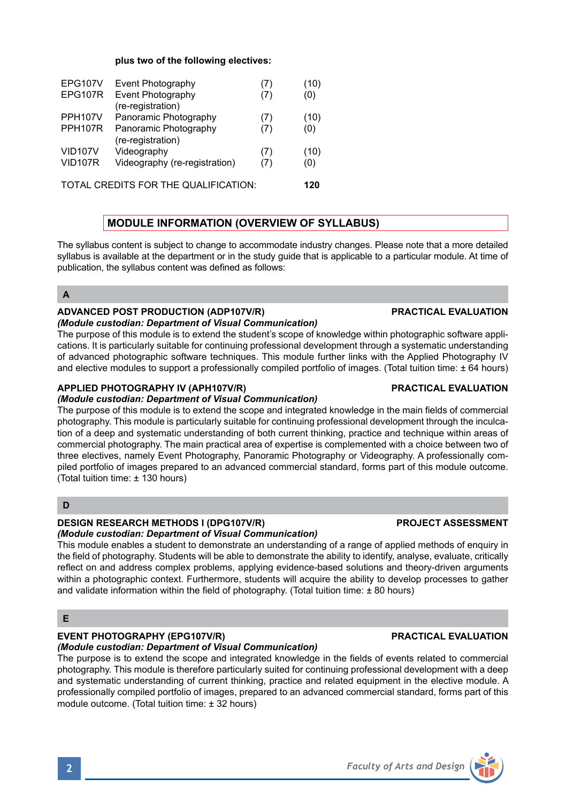## **plus two of the following electives:**

| Event Photography                    | (7) | (10) |
|--------------------------------------|-----|------|
| Event Photography                    | (7) | (0)  |
| (re-registration)                    |     |      |
| Panoramic Photography                | (7) | (10) |
| Panoramic Photography                | (7) | (0)  |
| (re-registration)                    |     |      |
| Videography                          | (7) | (10) |
| Videography (re-registration)        | (7) | (0)  |
| TOTAL CREDITS FOR THE QUALIFICATION: |     |      |
|                                      |     |      |

# **MODULE INFORMATION (OVERVIEW OF SYLLABUS)**

The syllabus content is subject to change to accommodate industry changes. Please note that a more detailed syllabus is available at the department or in the study guide that is applicable to a particular module. At time of publication, the syllabus content was defined as follows:

## **A**

## **ADVANCED POST PRODUCTION (ADP107V/R) PRACTICAL EVALUATION**

#### *(Module custodian: Department of Visual Communication)*

The purpose of this module is to extend the student's scope of knowledge within photographic software applications. It is particularly suitable for continuing professional development through a systematic understanding of advanced photographic software techniques. This module further links with the Applied Photography IV and elective modules to support a professionally compiled portfolio of images. (Total tuition time: ± 64 hours)

## **APPLIED PHOTOGRAPHY IV (APH107V/R) PRACTICAL EVALUATION**

### *(Module custodian: Department of Visual Communication)*

The purpose of this module is to extend the scope and integrated knowledge in the main fields of commercial photography. This module is particularly suitable for continuing professional development through the inculcation of a deep and systematic understanding of both current thinking, practice and technique within areas of commercial photography. The main practical area of expertise is complemented with a choice between two of three electives, namely Event Photography, Panoramic Photography or Videography. A professionally compiled portfolio of images prepared to an advanced commercial standard, forms part of this module outcome. (Total tuition time: ± 130 hours)

## **D**

## **DESIGN RESEARCH METHODS I (DPG107V/R) PROJECT ASSESSMENT**

## *(Module custodian: Department of Visual Communication)*

This module enables a student to demonstrate an understanding of a range of applied methods of enquiry in the field of photography. Students will be able to demonstrate the ability to identify, analyse, evaluate, critically reflect on and address complex problems, applying evidence-based solutions and theory-driven arguments within a photographic context. Furthermore, students will acquire the ability to develop processes to gather and validate information within the field of photography. (Total tuition time: ± 80 hours)

## **E**

#### **EVENT PHOTOGRAPHY (EPG107V/R) PRACTICAL EVALUATION** *(Module custodian: Department of Visual Communication)*

The purpose is to extend the scope and integrated knowledge in the fields of events related to commercial photography. This module is therefore particularly suited for continuing professional development with a deep and systematic understanding of current thinking, practice and related equipment in the elective module. A professionally compiled portfolio of images, prepared to an advanced commercial standard, forms part of this module outcome. (Total tuition time: ± 32 hours)



**2** *Faculty of Arts and Design*